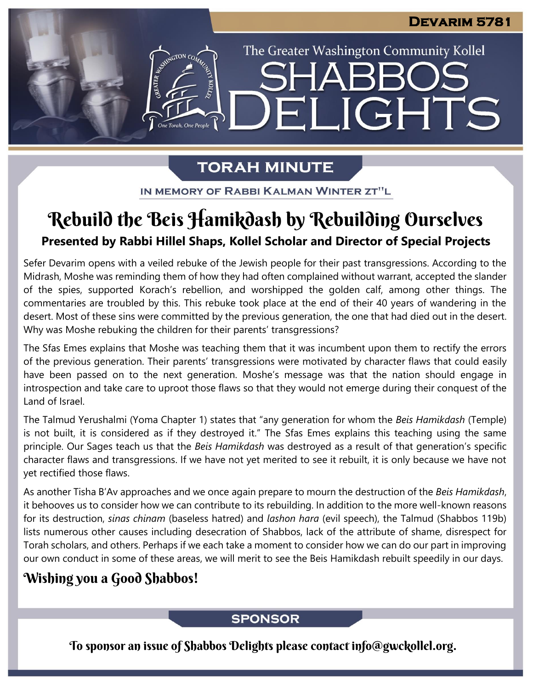The Greater Washington Community Kollel

ELIGHTS

# **TORAH MINUTE**

IN MEMORY OF RABBI KALMAN WINTER ZT"L

# **Presented by Rabbi Hillel Shaps, Kollel Scholar and Director of Special Projects** Rebuild the Beis Hamikdash by Rebuilding Ourselves

Sefer Devarim opens with a veiled rebuke of the Jewish people for their past transgressions. According to the Midrash, Moshe was reminding them of how they had often complained without warrant, accepted the slander of the spies, supported Korach's rebellion, and worshipped the golden calf, among other things. The commentaries are troubled by this. This rebuke took place at the end of their 40 years of wandering in the desert. Most of these sins were committed by the previous generation, the one that had died out in the desert. Why was Moshe rebuking the children for their parents' transgressions?

The Sfas Emes explains that Moshe was teaching them that it was incumbent upon them to rectify the errors of the previous generation. Their parents' transgressions were motivated by character flaws that could easily have been passed on to the next generation. Moshe's message was that the nation should engage in introspection and take care to uproot those flaws so that they would not emerge during their conquest of the Land of Israel.

The Talmud Yerushalmi (Yoma Chapter 1) states that "any generation for whom the *Beis Hamikdash* (Temple) is not built, it is considered as if they destroyed it." The Sfas Emes explains this teaching using the same principle. Our Sages teach us that the *Beis Hamikdash* was destroyed as a result of that generation's specific character flaws and transgressions. If we have not yet merited to see it rebuilt, it is only because we have not yet rectified those flaws.

As another Tisha B'Av approaches and we once again prepare to mourn the destruction of the *Beis Hamikdash*, it behooves us to consider how we can contribute to its rebuilding. In addition to the more well-known reasons for its destruction, *sinas chinam* (baseless hatred) and *lashon hara* (evil speech), the Talmud (Shabbos 119b) lists numerous other causes including desecration of Shabbos, lack of the attribute of shame, disrespect for Torah scholars, and others. Perhaps if we each take a moment to consider how we can do our part in improving our own conduct in some of these areas, we will merit to see the Beis Hamikdash rebuilt speedily in our days.

## Wishing you a Good Shabbos!

### **SPONSOR**

To sponsor an issue of Shabbos Delights please contact info@gwckollel.org.